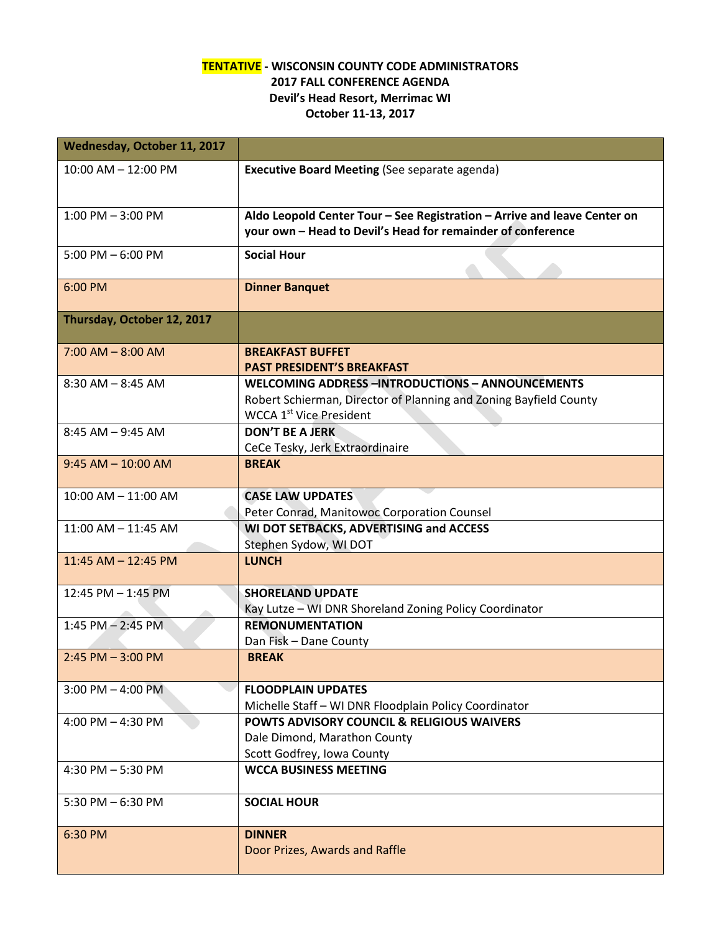## **TENTATIVE - WISCONSIN COUNTY CODE ADMINISTRATORS 2017 FALL CONFERENCE AGENDA Devil's Head Resort, Merrimac WI October 11-13, 2017**

| <b>Wednesday, October 11, 2017</b> |                                                                          |  |  |
|------------------------------------|--------------------------------------------------------------------------|--|--|
| $10:00$ AM $- 12:00$ PM            | <b>Executive Board Meeting (See separate agenda)</b>                     |  |  |
|                                    |                                                                          |  |  |
| $1:00$ PM $-3:00$ PM               | Aldo Leopold Center Tour - See Registration - Arrive and leave Center on |  |  |
|                                    | your own - Head to Devil's Head for remainder of conference              |  |  |
| 5:00 PM $-$ 6:00 PM                | <b>Social Hour</b>                                                       |  |  |
|                                    |                                                                          |  |  |
| 6:00 PM                            | <b>Dinner Banquet</b>                                                    |  |  |
| Thursday, October 12, 2017         |                                                                          |  |  |
|                                    |                                                                          |  |  |
| $7:00$ AM $-$ 8:00 AM              | <b>BREAKFAST BUFFET</b><br><b>PAST PRESIDENT'S BREAKFAST</b>             |  |  |
| $8:30$ AM $- 8:45$ AM              | <b>WELCOMING ADDRESS-INTRODUCTIONS - ANNOUNCEMENTS</b>                   |  |  |
|                                    | Robert Schierman, Director of Planning and Zoning Bayfield County        |  |  |
|                                    | <b>WCCA 1st</b> Vice President                                           |  |  |
| $8:45$ AM $-9:45$ AM               | <b>DON'T BE A JERK</b>                                                   |  |  |
|                                    | CeCe Tesky, Jerk Extraordinaire                                          |  |  |
| $9:45$ AM $- 10:00$ AM             | <b>BREAK</b>                                                             |  |  |
|                                    |                                                                          |  |  |
| 10:00 AM - 11:00 AM                | <b>CASE LAW UPDATES</b>                                                  |  |  |
|                                    | Peter Conrad, Manitowoc Corporation Counsel                              |  |  |
| 11:00 AM - 11:45 AM                | WI DOT SETBACKS, ADVERTISING and ACCESS                                  |  |  |
|                                    | Stephen Sydow, WI DOT                                                    |  |  |
| 11:45 AM - 12:45 PM                | <b>LUNCH</b>                                                             |  |  |
| 12:45 PM - 1:45 PM                 | <b>SHORELAND UPDATE</b>                                                  |  |  |
|                                    | Kay Lutze - WI DNR Shoreland Zoning Policy Coordinator                   |  |  |
| $1:45$ PM $- 2:45$ PM              | <b>REMONUMENTATION</b>                                                   |  |  |
|                                    | Dan Fisk - Dane County                                                   |  |  |
| $2:45$ PM $-3:00$ PM               | <b>BREAK</b>                                                             |  |  |
| $3:00$ PM $-$ 4:00 PM              | <b>FLOODPLAIN UPDATES</b>                                                |  |  |
|                                    | Michelle Staff - WI DNR Floodplain Policy Coordinator                    |  |  |
| 4:00 PM $-$ 4:30 PM                | <b>POWTS ADVISORY COUNCIL &amp; RELIGIOUS WAIVERS</b>                    |  |  |
|                                    | Dale Dimond, Marathon County                                             |  |  |
|                                    | Scott Godfrey, Iowa County                                               |  |  |
| 4:30 PM $-$ 5:30 PM                | <b>WCCA BUSINESS MEETING</b>                                             |  |  |
| 5:30 PM $-6:30$ PM                 | <b>SOCIAL HOUR</b>                                                       |  |  |
|                                    |                                                                          |  |  |
| 6:30 PM                            | <b>DINNER</b>                                                            |  |  |
|                                    | Door Prizes, Awards and Raffle                                           |  |  |